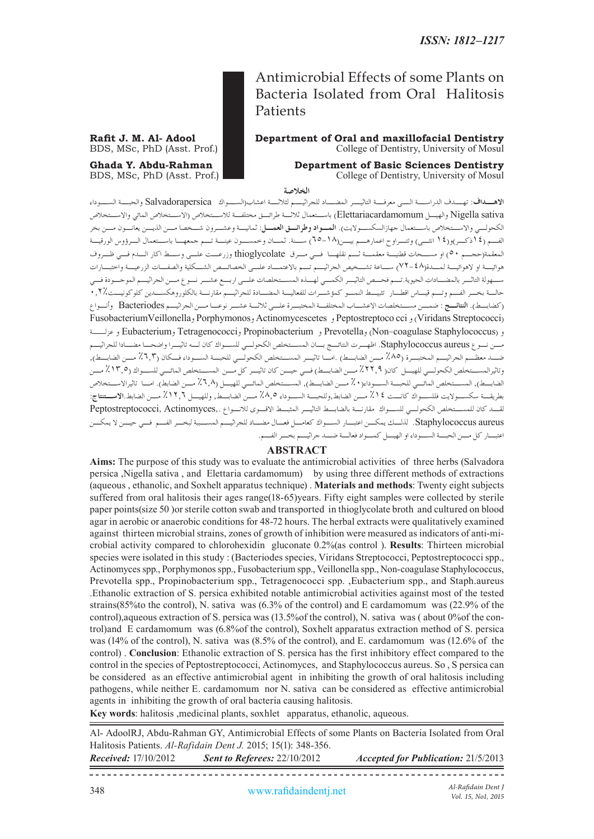#### **Rafit J. M. Al- Adool Department of Oral and maxillofacial Dentistry**<br>BDS, MSc, PhD (Asst. Prof.) College of Dentistry. University of Mosul College of Dentistry, University of Mosul

### **Ghada Y. Abdu-Rahman Department of Basic Sciences Dentistry**<br>BDS, MSc, PhD (Asst. Prof.) **Department of Basic Sciences Dentistry**<br>College of Dentistry, University of Mosul College of Dentistry, University of Mosul

**الخالصة**

**االهــداف**: تهــدف الدراســة الــى معرفــة التاثيــر المضــاد للجراثيــم لثالثــة اعشاب)الســواك Salvadorapersica والحبــة الســوداء sativa Nigella والهيـل Elettariacardamomum )باسـتعمال ثالثـة طرائـق مختلفـة لالسـتخالص )االسـتخالص المائي واالسـتخالص الكحولــي والاســتخلاص باســتعمال جهازالسكســولايت). **المــواد وطرائــق العمـــل**: ثمانيــة وعشــرون شــخصا مــن الذيــن يعانــون مـــن بخر الفـم )14ذكـر(و)14 انثـى( وتتـراوح اعمارهـم بيـن)65-18( سـنة. ثمـان وخمسـون عينـة تـم جمعهـا باسـتعمال الـرؤوس الورقيـة المعقمة)حجـم 50( او مسـحات قطنيـة معقمـة ثـم نقلهـا فـي مـرق thioglycolate وزرعـت علـى وسـط اكار الـدم فـي ظـروف هوائيـة او الهوائيـة لمـدة)72-48( سـاعة تشـخيص الجراثيـم تـم باالعتمـاد علـى الخصائـص الشـكلية والصفـات الزرعيـة واختبـارات سـهولة التاثـر بالمضـادات الحيوية.تـم فحـص التاثيـر الكمـي لهـذه المسـتخلصات علـى اربـع عشـر نـوع مـن الجراثيـم الموجـودة فـي حالـة بخـر الفـم وتـم قيـاس اقطـار تثبيـط النمـو كمؤشـرات للفعاليـة المضـادة للجراثيـم مقارنـة بالكلوروهكسـدين كلوكونيـت0.2% )كضابـط(. **النتائـج** : ضمـن مسـتخلصات االعشـاب المختلفـة المختبـرة علـى ثالثـة عشـر نوعـا مـن الجراثيـم Bacteriodes وأنـواع FusobacteriumVeillonellaو Porphymonosو Actinomycescetes و Peptostreptoco cci و( Viridans Streptococci( و (Non-coagulase Staphylococcus و Propinobacterium و Eubacterium و Eubacterium و عزلـــة مـن نـوع aureus Staphylococcus. اظهـرت النتائـج بـان المسـتخلص الكحولـي للسـواك كان لـه تاثيـرا واضحـا مضـادا للجراثيـم .<br>ضـــد معظـــم الجراثيـــم المختبـــرة (٨٥٪ مـــن الضابـــط) .امــا تاثيـــر المســـتخلص الكحولـــى للحبــة الســـوداء فـــكان (٦,٣٪ مــــر الضابــط). وتاثيرالمسـتخلص الكحولـي للهيـل كان) %22.9 مـن الضابـط( فـي حيـن كان تاثيـر كل مـن المسـتخلص المائـي للسـواك )%13.5 مـن الضابــط), المســتخلص المائــي للحبــة الســوداء( • ٪ مــن الضابــط), المســتخلص المائــي للهيــل (^,7 ٪ مــن الضابط). امــا تاثيرالاســتخلاص بطريقـة سكسـواليت فللسـواك كانـت %14 مـن الضابط,وللحبـة السـوداء %8.5 مـن الضابـط, وللهيـل %12.6 مـن الضابط.**االسـتنتاج**: لقـد كان للمسـتخلص الكحولـي للسـواك مقارنـة بالضابـط التاثيـر المثبـط االقـوى لالنـواع ,.Actinomyces ,Peptostreptococci aureus Staphylococcus. لذلـك يمكـن اعتبـار السـواك كعامـل فعـال مضـاد للجراثيـم المسـببة لبخـر الفـم فـي حيـن ال يمكـن اعتبـار كل مـن الحبـة السـوداء او الهيـل كمـواد فعالـة ضـد جراثيـم بخـر الفـم.

#### **ABSTRACT**

**Aims:** The purpose of this study was to evaluate the antimicrobial activities of three herbs (Salvadora persica ,Nigella sativa , and Elettaria cardamomum) by using three different methods of extractions (aqueous , ethanolic, and Soxhelt apparatus technique) . **Materials and methods**: Twenty eight subjects suffered from oral halitosis their ages range(18-65)years. Fifty eight samples were collected by sterile paper points(size 50 )or sterile cotton swab and transported in thioglycolate broth and cultured on blood agar in aerobic or anaerobic conditions for 48-72 hours. The herbal extracts were qualitatively examined against thirteen microbial strains, zones of growth of inhibition were measured as indicators of anti-microbial activity compared to chlorohexidin gluconate 0.2%(as control ). **Results**: Thirteen microbial species were isolated in this study : (Bacteriodes species, Viridans Streptococci, Peptostreptococci spp., Actinomyces spp., Porphymonos spp., Fusobacterium spp., Veillonella spp., Non-coagulase Staphylococcus, Prevotella spp., Propinobacterium spp., Tetragenococci spp. ,Eubacterium spp., and Staph.aureus .Ethanolic extraction of S. persica exhibited notable antimicrobial activities against most of the tested strains(85%to the control), N. sativa was (6.3% of the control) and E cardamomum was (22.9% of the control),aqueous extraction of S. persica was (13.5%of the control), N. sativa was ( about 0%of the control)and E cardamomum was (6.8%of the control), Soxhelt apparatus extraction method of S. persica was (14% of the control), N. sativa was (8.5% of the control), and E. cardamomum was (12.6% of the control) . **Conclusion**: Ethanolic extraction of S. persica has the first inhibitory effect compared to the control in the species of Peptostreptococci, Actinomyces, and Staphylococcus aureus. So , S persica can be considered as an effective antimicrobial agent in inhibiting the growth of oral halitosis including pathogens, while neither E. cardamomum nor N. sativa can be considered as effective antimicrobial agents in inhibiting the growth of oral bacteria causing halitosis.

**Key words**: halitosis ,medicinal plants, soxhlet apparatus, ethanolic, aqueous.

Al- AdoolRJ, Abdu-Rahman GY, Antimicrobial Effects of some Plants on Bacteria Isolated from Oral Halitosis Patients. *Al-Rafidain Dent J.* 2015; 15(1): 348-356. *Received:* 17/10/2012 *Sent to Referees:* 22/10/2012 *Accepted for Publication:* 21/5/2013

*Al-Rafidain Dent J*

*Vol. 15, No1, 2015*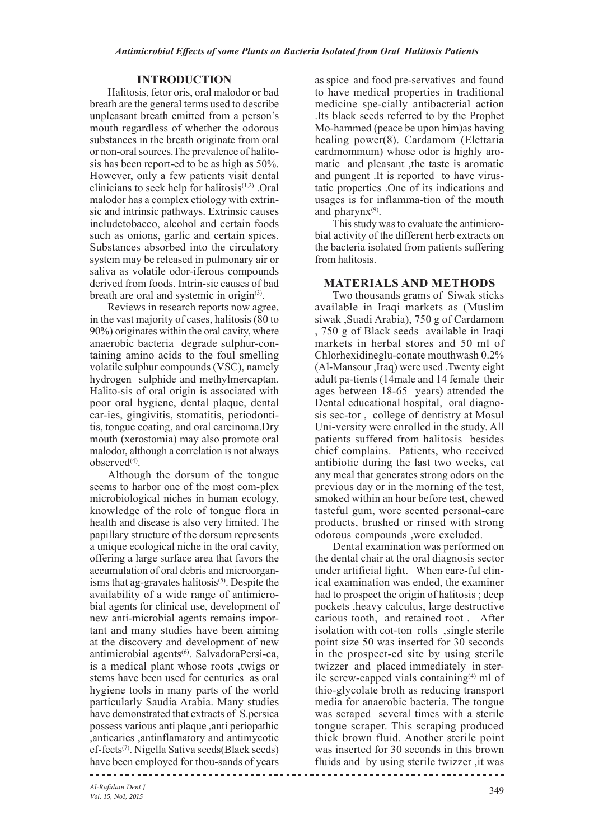#### **INTRODUCTION**

Halitosis, fetor oris, oral malodor or bad breath are the general terms used to describe unpleasant breath emitted from a person's mouth regardless of whether the odorous substances in the breath originate from oral or non-oral sources.The prevalence of halitosis has been report-ed to be as high as 50%. However, only a few patients visit dental clinicians to seek help for halitosis $(1,2)$ . Oral malodor has a complex etiology with extrinsic and intrinsic pathways. Extrinsic causes includetobacco, alcohol and certain foods such as onions, garlic and certain spices. Substances absorbed into the circulatory system may be released in pulmonary air or saliva as volatile odor-iferous compounds derived from foods. Intrin-sic causes of bad breath are oral and systemic in origin<sup>(3)</sup>.

Reviews in research reports now agree, in the vast majority of cases, halitosis (80 to 90%) originates within the oral cavity, where anaerobic bacteria degrade sulphur-containing amino acids to the foul smelling volatile sulphur compounds (VSC), namely hydrogen sulphide and methylmercaptan. Halito-sis of oral origin is associated with poor oral hygiene, dental plaque, dental car-ies, gingivitis, stomatitis, periodontitis, tongue coating, and oral carcinoma.Dry mouth (xerostomia) may also promote oral malodor, although a correlation is not always observed<sup>(4)</sup>.

Although the dorsum of the tongue seems to harbor one of the most com-plex microbiological niches in human ecology, knowledge of the role of tongue flora in health and disease is also very limited. The papillary structure of the dorsum represents a unique ecological niche in the oral cavity, offering a large surface area that favors the accumulation of oral debris and microorganisms that ag-gravates halitosis $(5)$ . Despite the availability of a wide range of antimicrobial agents for clinical use, development of new anti-microbial agents remains important and many studies have been aiming at the discovery and development of new antimicrobial agents<sup>(6)</sup>. SalvadoraPersi-ca, is a medical plant whose roots ,twigs or stems have been used for centuries as oral hygiene tools in many parts of the world particularly Saudia Arabia. Many studies have demonstrated that extracts of S.persica possess various anti plaque ,anti periopathic ,anticaries ,antinflamatory and antimycotic ef-fects(7). Nigella Sativa seeds(Black seeds) have been employed for thou-sands of years

as spice and food pre-servatives and found to have medical properties in traditional medicine spe-cially antibacterial action .Its black seeds referred to by the Prophet Mo-hammed (peace be upon him)as having healing power(8). Cardamom (Elettaria cardmommum) whose odor is highly aromatic and pleasant ,the taste is aromatic and pungent .It is reported to have virustatic properties .One of its indications and usages is for inflamma-tion of the mouth and pharyn $x^{(9)}$ .

This study was to evaluate the antimicrobial activity of the different herb extracts on the bacteria isolated from patients suffering from halitosis.

#### **MATERIALS AND METHODS**

Two thousands grams of Siwak sticks available in Iraqi markets as (Muslim siwak ,Suadi Arabia), 750 g of Cardamom , 750 g of Black seeds available in Iraqi markets in herbal stores and 50 ml of Chlorhexidineglu-conate mouthwash 0.2% (Al-Mansour ,Iraq) were used .Twenty eight adult pa-tients (14male and 14 female their ages between 18-65 years) attended the Dental educational hospital, oral diagnosis sec-tor , college of dentistry at Mosul Uni-versity were enrolled in the study. All patients suffered from halitosis besides chief complains. Patients, who received antibiotic during the last two weeks, eat any meal that generates strong odors on the previous day or in the morning of the test, smoked within an hour before test, chewed tasteful gum, wore scented personal-care products, brushed or rinsed with strong odorous compounds ,were excluded.

Dental examination was performed on the dental chair at the oral diagnosis sector under artificial light. When care-ful clinical examination was ended, the examiner had to prospect the origin of halitosis ; deep pockets ,heavy calculus, large destructive carious tooth, and retained root . After isolation with cot-ton rolls ,single sterile point size 50 was inserted for 30 seconds in the prospect-ed site by using sterile twizzer and placed immediately in sterile screw-capped vials containing $(4)$  ml of thio-glycolate broth as reducing transport media for anaerobic bacteria. The tongue was scraped several times with a sterile tongue scraper. This scraping produced thick brown fluid. Another sterile point was inserted for 30 seconds in this brown fluids and by using sterile twizzer ,it was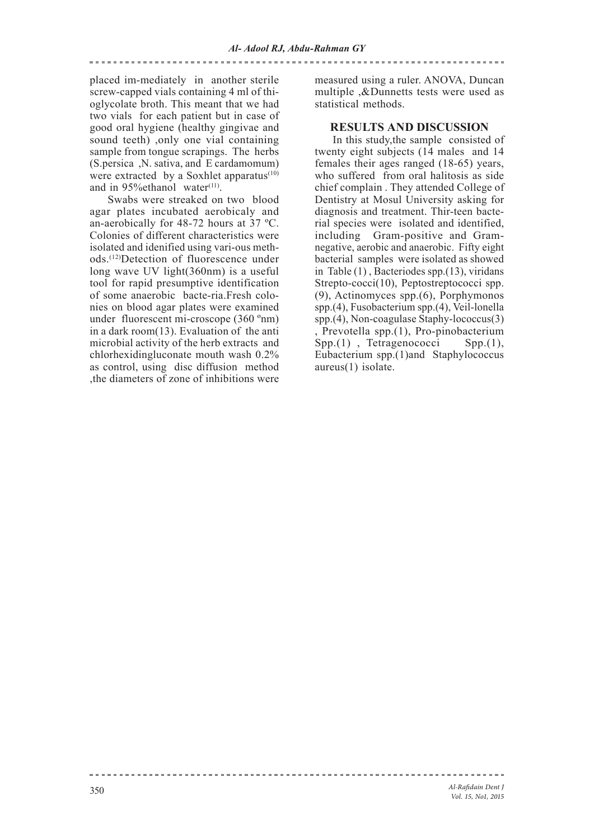#### placed im-mediately in another sterile screw-capped vials containing 4 ml of thioglycolate broth. This meant that we had two vials for each patient but in case of good oral hygiene (healthy gingivae and sound teeth) ,only one vial containing sample from tongue scrapings. The herbs (S.persica ,N. sativa, and E cardamomum) were extracted by a Soxhlet apparatus $(10)$ and in 95% ethanol water $(11)$ .

Swabs were streaked on two blood agar plates incubated aerobicaly and an-aerobically for 48-72 hours at 37 ºC. Colonies of different characteristics were isolated and idenified using vari-ous methods.(12)Detection of fluorescence under long wave UV light(360nm) is a useful tool for rapid presumptive identification of some anaerobic bacte-ria.Fresh colonies on blood agar plates were examined under fluorescent mi-croscope (360 ºnm) in a dark room(13). Evaluation of the anti microbial activity of the herb extracts and chlorhexidingluconate mouth wash 0.2% as control, using disc diffusion method ,the diameters of zone of inhibitions were

measured using a ruler. ANOVA, Duncan multiple ,&Dunnetts tests were used as statistical methods.

#### **RESULTS AND DISCUSSION**

In this study,the sample consisted of twenty eight subjects (14 males and 14 females their ages ranged (18-65) years, who suffered from oral halitosis as side chief complain . They attended College of Dentistry at Mosul University asking for diagnosis and treatment. Thir-teen bacterial species were isolated and identified, including Gram-positive and Gramnegative, aerobic and anaerobic. Fifty eight bacterial samples were isolated as showed in Table (1) , Bacteriodes spp.(13), viridans Strepto-cocci(10), Peptostreptococci spp. (9), Actinomyces spp.(6), Porphymonos spp.(4), Fusobacterium spp.(4), Veil-lonella spp.(4), Non-coagulase Staphy-lococcus(3) , Prevotella spp.(1), Pro-pinobacterium  $Spp.(1)$ , Tetragenococci Eubacterium spp.(1)and Staphylococcus aureus(1) isolate.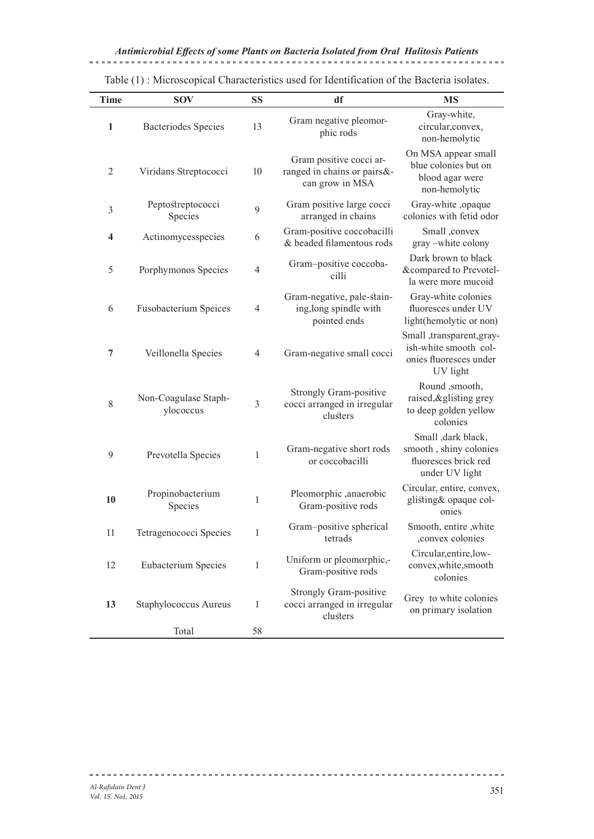| <b>Time</b>    | <b>SOV</b>                        | <b>SS</b>      | df                                                                        | <b>MS</b>                                                                               |
|----------------|-----------------------------------|----------------|---------------------------------------------------------------------------|-----------------------------------------------------------------------------------------|
| 1              | Bacteriodes Species               | 13             | Gram negative pleomor-<br>phic rods                                       | Gray-white,<br>circular, convex,<br>non-hemolytic                                       |
| $\overline{2}$ | Viridans Streptococci             | 10             | Gram positive cocci ar-<br>ranged in chains or pairs&-<br>can grow in MSA | On MSA appear small<br>blue colonies but on<br>blood agar were<br>non-hemolytic         |
| 3              | Peptostreptococci<br>Species      | 9              | Gram positive large cocci<br>arranged in chains                           | Gray-white ,opaque<br>colonies with fetid odor                                          |
| 4              | Actinomycesspecies                | 6              | Gram-positive coccobacilli<br>& beaded filamentous rods                   | Small ,convex<br>gray -white colony                                                     |
| 5              | Porphymonos Species               | 4              | Gram-positive coccoba-<br>cilli                                           | Dark brown to black<br>&compared to Prevotel-<br>la were more mucoid                    |
| 6              | <b>Fusobacterium Speices</b>      | 4              | Gram-negative, pale-stain-<br>ing, long spindle with<br>pointed ends      | Gray-white colonies<br>fluoresces under UV<br>light(hemolytic or non)                   |
| 7              | Veillonella Species               | 4              | Gram-negative small cocci                                                 | Small ,transparent,gray-<br>ish-white smooth col-<br>onies fluoresces under<br>UV light |
| $8\,$          | Non-Coagulase Staph-<br>ylococcus | $\mathfrak{Z}$ | <b>Strongly Gram-positive</b><br>cocci arranged in irregular<br>clusters  | Round , smooth,<br>raised, & glisting grey<br>to deep golden yellow<br>colonies         |
| 9              | Prevotella Species                | $\mathbf{1}$   | Gram-negative short rods<br>or coccobacilli                               | Small , dark black,<br>smooth, shiny colonies<br>fluoresces brick red<br>under UV light |
| 10             | Propinobacterium<br>Species       | $\mathbf{1}$   | Pleomorphic ,anaerobic<br>Gram-positive rods                              | Circular, entire, convex,<br>glisting& opaque col-<br>onies                             |
| 11             | Tetragenococci Species            |                | Gram-positive spherical<br>tetrads                                        | Smooth, entire ,white<br>,convex colonies                                               |
| 12             | Eubacterium Species               | 1              | Uniform or pleomorphic,-<br>Gram-positive rods                            | Circular, entire, low-<br>convex,white,smooth<br>colonies                               |
| 13             | Staphylococcus Aureus             | $\mathbf{1}$   | <b>Strongly Gram-positive</b><br>cocci arranged in irregular<br>clusters  | Grey to white colonies<br>on primary isolation                                          |
|                | Total                             | 58             |                                                                           |                                                                                         |

Table (1) : Microscopical Characteristics used for Identification of the Bacteria isolates.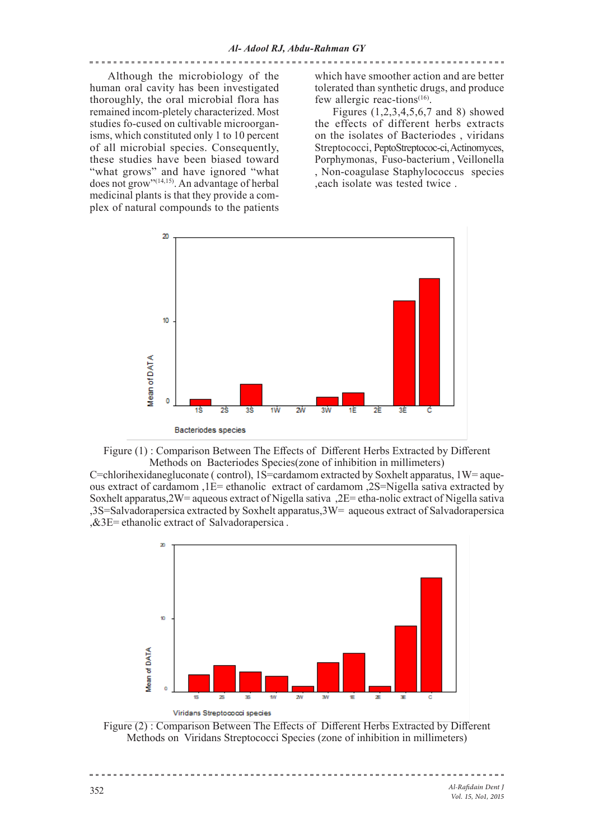Although the microbiology of the human oral cavity has been investigated thoroughly, the oral microbial flora has remained incom-pletely characterized. Most studies fo-cused on cultivable microorganisms, which constituted only 1 to 10 percent of all microbial species. Consequently, these studies have been biased toward "what grows" and have ignored "what does not grow"<sup>(14,15)</sup>. An advantage of herbal medicinal plants is that they provide a complex of natural compounds to the patients

which have smoother action and are better tolerated than synthetic drugs, and produce few allergic reac-tions $(16)$ .

Figures (1,2,3,4,5,6,7 and 8) showed the effects of different herbs extracts on the isolates of Bacteriodes , viridans Streptococci, PeptoStreptococ-ci, Actinomyces, Porphymonas, Fuso-bacterium , Veillonella , Non-coagulase Staphylococcus species ,each isolate was tested twice .





 $C=$ chlorihexidanegluconate ( control),  $1S=$ cardamom extracted by Soxhelt apparatus,  $1W=$  aqueous extract of cardamom ,1E= ethanolic extract of cardamom ,2S=Nigella sativa extracted by Soxhelt apparatus,2W= aqueous extract of Nigella sativa ,2E= etha-nolic extract of Nigella sativa ,3S=Salvadorapersica extracted by Soxhelt apparatus,3W= aqueous extract of Salvadorapersica ,&3E= ethanolic extract of Salvadorapersica .



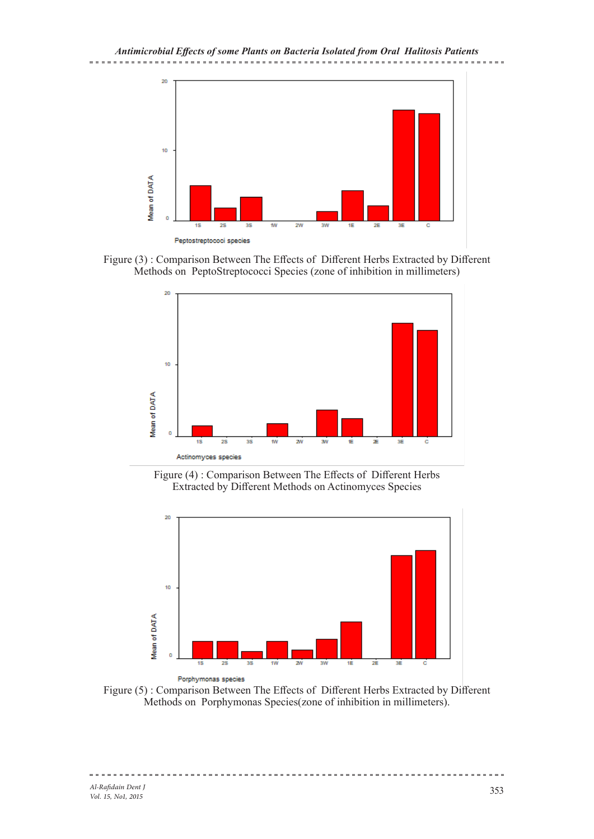

Figure (3) : Comparison Between The Effects of Different Herbs Extracted by Different Methods on PeptoStreptococci Species (zone of inhibition in millimeters)



Figure (4) : Comparison Between The Effects of Different Herbs Extracted by Different Methods on Actinomyces Species



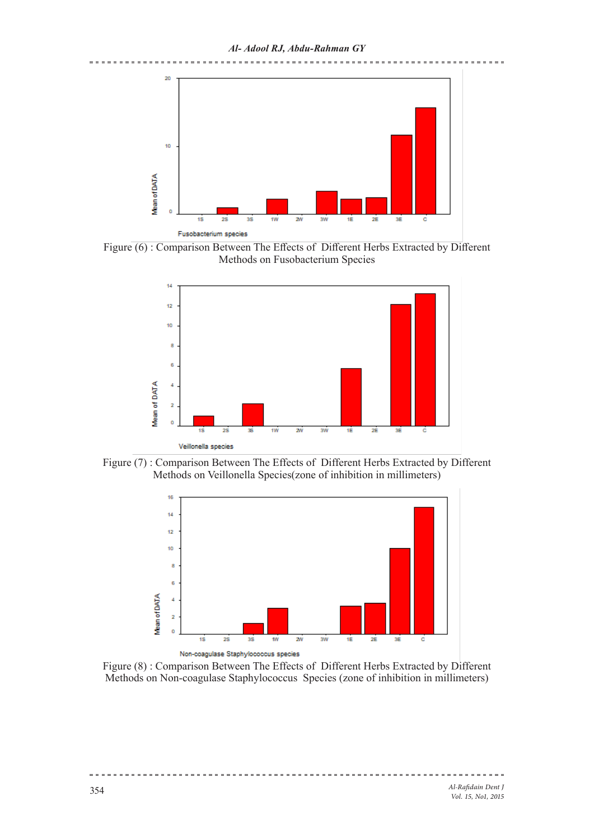

Figure (6) : Comparison Between The Effects of Different Herbs Extracted by Different Methods on Fusobacterium Species



Figure (7) : Comparison Between The Effects of Different Herbs Extracted by Different Methods on Veillonella Species(zone of inhibition in millimeters)



Figure  $\overline{(8)}$ : Comparison Between The Effects of Different Herbs Extracted by Different Methods on Non-coagulase Staphylococcus Species (zone of inhibition in millimeters)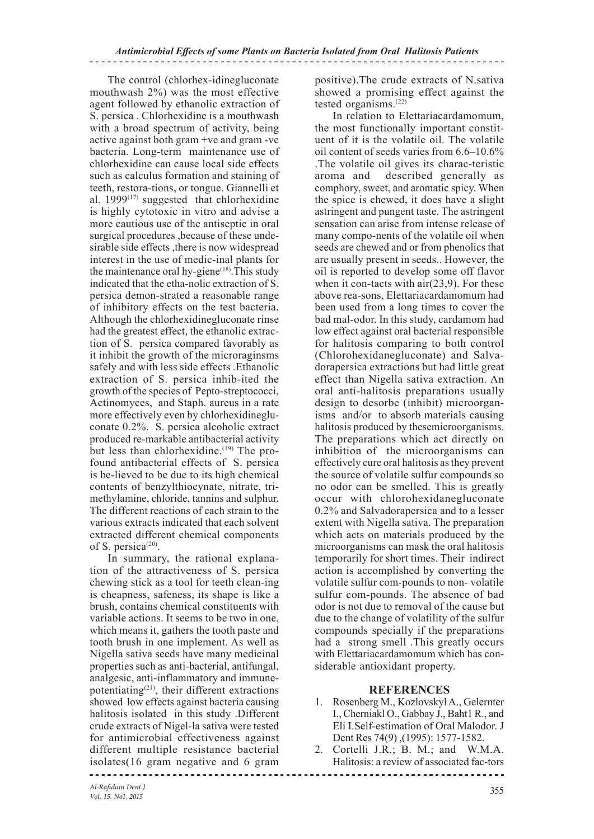The control (chlorhex-idinegluconate mouthwash 2%) was the most effective agent followed by ethanolic extraction of S. persica . Chlorhexidine is a mouthwash with a broad spectrum of activity, being active against both gram +ve and gram -ve bacteria. Long-term maintenance use of chlorhexidine can cause local side effects such as calculus formation and staining of teeth, restora-tions, or tongue. Giannelli et al.  $1999^{(17)}$  suggested that chlorhexidine is highly cytotoxic in vitro and advise a more cautious use of the antiseptic in oral surgical procedures ,because of these undesirable side effects ,there is now widespread interest in the use of medic-inal plants for the maintenance oral hy-giene $(18)$ . This study indicated that the etha-nolic extraction of S. persica demon-strated a reasonable range of inhibitory effects on the test bacteria. Although the chlorhexidinegluconate rinse had the greatest effect, the ethanolic extraction of S. persica compared favorably as it inhibit the growth of the microraginsms safely and with less side effects .Ethanolic extraction of S. persica inhib-ited the growth of the species of Pepto-streptococci, Actinomyces, and Staph. aureus in a rate more effectively even by chlorhexidinegluconate 0.2%. S. persica alcoholic extract produced re-markable antibacterial activity but less than chlorhexidine.<sup>(19)</sup> The profound antibacterial effects of S. persica is be-lieved to be due to its high chemical contents of benzylthiocynate, nitrate, trimethylamine, chloride, tannins and sulphur. The different reactions of each strain to the various extracts indicated that each solvent extracted different chemical components of S. persica<sup> $(20)$ </sup>.

In summary, the rational explanation of the attractiveness of S. persica chewing stick as a tool for teeth clean-ing is cheapness, safeness, its shape is like a brush, contains chemical constituents with variable actions. It seems to be two in one, which means it, gathers the tooth paste and tooth brush in one implement. As well as Nigella sativa seeds have many medicinal properties such as anti-bacterial, antifungal, analgesic, anti-inflammatory and immunepotentiating(21), their different extractions showed low effects against bacteria causing halitosis isolated in this study .Different crude extracts of Nigel-la sativa were tested for antimicrobial effectiveness against different multiple resistance bacterial isolates(16 gram negative and 6 gram

positive).The crude extracts of N.sativa showed a promising effect against the tested organisms.(22)

In relation to Elettariacardamomum, the most functionally important constituent of it is the volatile oil. The volatile oil content of seeds varies from 6.6–10.6% .The volatile oil gives its charac-teristic aroma and described generally as comphory, sweet, and aromatic spicy. When the spice is chewed, it does have a slight astringent and pungent taste. The astringent sensation can arise from intense release of many compo-nents of the volatile oil when seeds are chewed and or from phenolics that are usually present in seeds.. However, the oil is reported to develop some off flavor when it con-tacts with air(23,9). For these above rea-sons, Elettariacardamomum had been used from a long times to cover the bad mal-odor. In this study, cardamom had low effect against oral bacterial responsible for halitosis comparing to both control (Chlorohexidanegluconate) and Salvadorapersica extractions but had little great effect than Nigella sativa extraction. An oral anti-halitosis preparations usually design to desorbe (inhibit) microorganisms and/or to absorb materials causing halitosis produced by thesemicroorganisms. The preparations which act directly on inhibition of the microorganisms can effectively cure oral halitosis as they prevent the source of volatile sulfur compounds so no odor can be smelled. This is greatly occur with chlorohexidanegluconate 0.2% and Salvadorapersica and to a lesser extent with Nigella sativa. The preparation which acts on materials produced by the microorganisms can mask the oral halitosis temporarily for short times. Their indirect action is accomplished by converting the volatile sulfur com-pounds to non- volatile sulfur com-pounds. The absence of bad odor is not due to removal of the cause but due to the change of volatility of the sulfur compounds specially if the preparations had a strong smell. This greatly occurs with Elettariacardamomum which has considerable antioxidant property.

#### **REFERENCES**

- 1. Rosenberg M., Kozlovskyl A., Gelernter I., Cherniakl O., Gabbay J., Baht1 R., and Eli I.Self-estimation of Oral Malodor. J Dent Res 74(9) ,(1995): 1577-1582.
- 2. Cortelli J.R.; B. M.; and W.M.A. Halitosis: a review of associated fac-tors